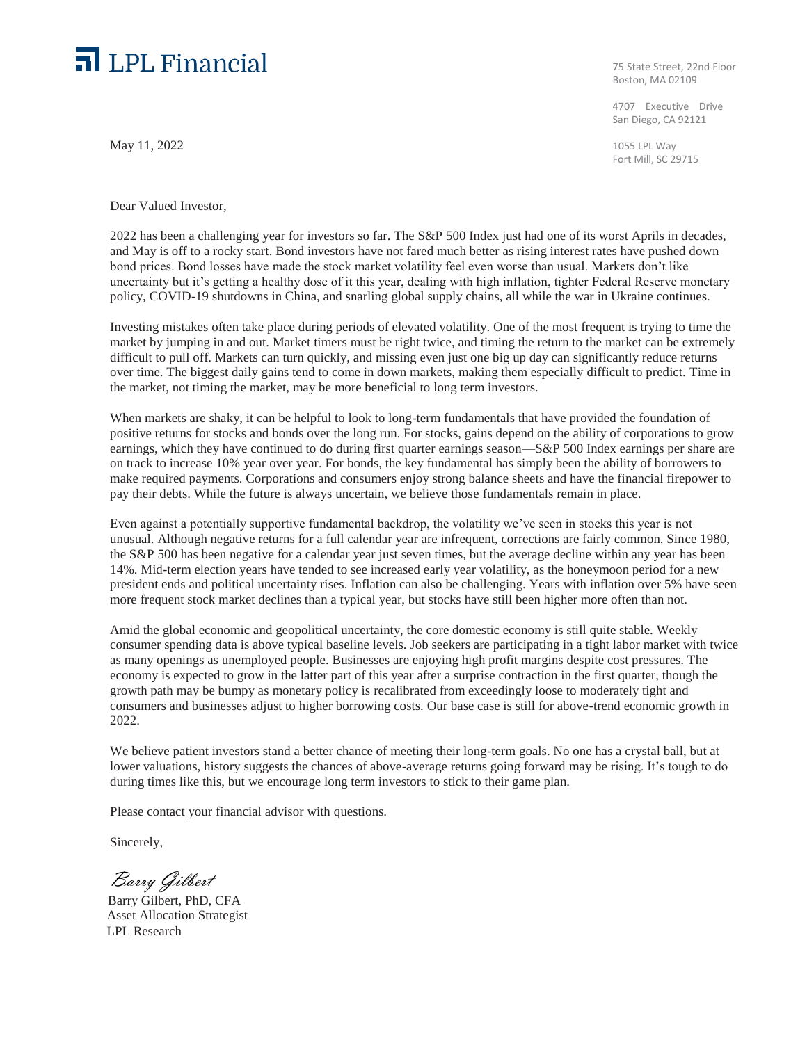## $\Box$  LPL Financial

May 11, 2022

Dear Valued Investor,

75 State Street, 22nd Floor Boston, MA 02109

4707 Executive Drive San Diego, CA 92121

1055 LPL Way Fort Mill, SC 29715

2022 has been a challenging year for investors so far. The S&P 500 Index just had one of its worst Aprils in decades, and May is off to a rocky start. Bond investors have not fared much better as rising interest rates have pushed down bond prices. Bond losses have made the stock market volatility feel even worse than usual. Markets don't like uncertainty but it's getting a healthy dose of it this year, dealing with high inflation, tighter Federal Reserve monetary policy, COVID-19 shutdowns in China, and snarling global supply chains, all while the war in Ukraine continues.

Investing mistakes often take place during periods of elevated volatility. One of the most frequent is trying to time the market by jumping in and out. Market timers must be right twice, and timing the return to the market can be extremely difficult to pull off. Markets can turn quickly, and missing even just one big up day can significantly reduce returns over time. The biggest daily gains tend to come in down markets, making them especially difficult to predict. Time in the market, not timing the market, may be more beneficial to long term investors.

When markets are shaky, it can be helpful to look to long-term fundamentals that have provided the foundation of positive returns for stocks and bonds over the long run. For stocks, gains depend on the ability of corporations to grow earnings, which they have continued to do during first quarter earnings season—S&P 500 Index earnings per share are on track to increase 10% year over year. For bonds, the key fundamental has simply been the ability of borrowers to make required payments. Corporations and consumers enjoy strong balance sheets and have the financial firepower to pay their debts. While the future is always uncertain, we believe those fundamentals remain in place.

Even against a potentially supportive fundamental backdrop, the volatility we've seen in stocks this year is not unusual. Although negative returns for a full calendar year are infrequent, corrections are fairly common. Since 1980, the S&P 500 has been negative for a calendar year just seven times, but the average decline within any year has been 14%. Mid-term election years have tended to see increased early year volatility, as the honeymoon period for a new president ends and political uncertainty rises. Inflation can also be challenging. Years with inflation over 5% have seen more frequent stock market declines than a typical year, but stocks have still been higher more often than not.

Amid the global economic and geopolitical uncertainty, the core domestic economy is still quite stable. Weekly consumer spending data is above typical baseline levels. Job seekers are participating in a tight labor market with twice as many openings as unemployed people. Businesses are enjoying high profit margins despite cost pressures. The economy is expected to grow in the latter part of this year after a surprise contraction in the first quarter, though the growth path may be bumpy as monetary policy is recalibrated from exceedingly loose to moderately tight and consumers and businesses adjust to higher borrowing costs. Our base case is still for above-trend economic growth in 2022.

We believe patient investors stand a better chance of meeting their long-term goals. No one has a crystal ball, but at lower valuations, history suggests the chances of above-average returns going forward may be rising. It's tough to do during times like this, but we encourage long term investors to stick to their game plan.

Please contact your financial advisor with questions.

Sincerely,

Barry Gilbert

 Barry Gilbert, PhD, CFA Asset Allocation Strategist LPL Research